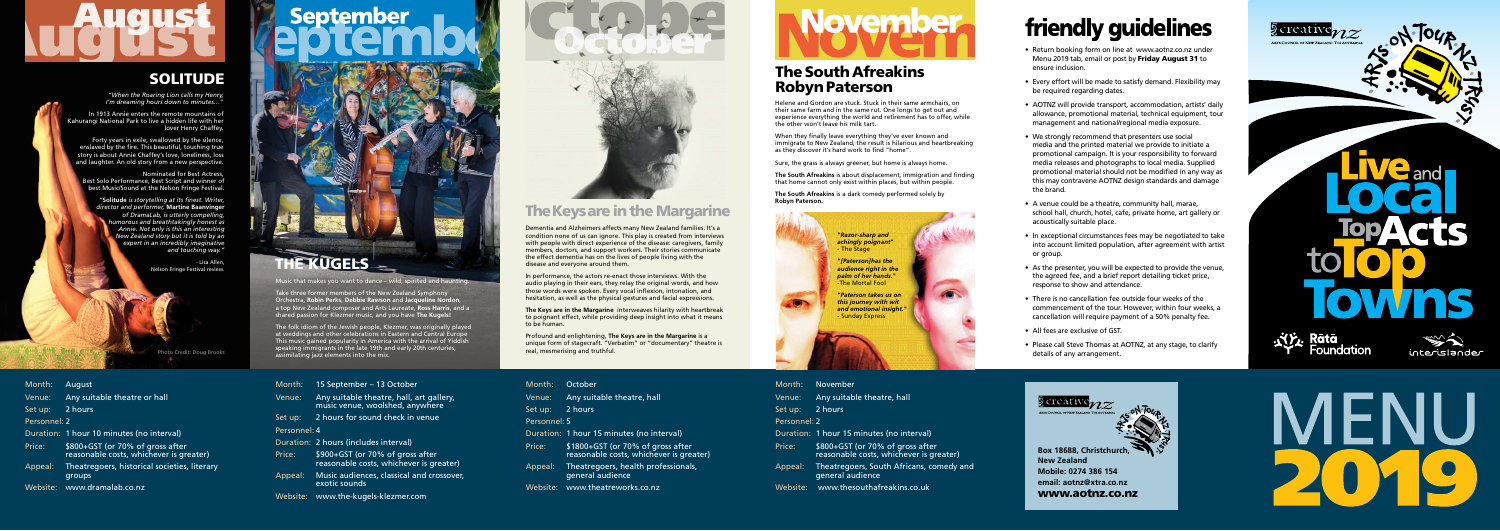

**New Zealand Mobile: 0274 386 154 email: aotnz@xtra.co.nz** www.aotnz.co.nz



- Return booking form on line at www.aotnz.co.nz under Menu 2019 tab, email or post by Friday August 31 to ensure inclusion.
- Every effort will be made to satisfy demand. Flexibility may be required regarding dates.
- AOTNZ will provide transport, accommodation, artists' daily allowance, promotional material, technical equipment, tour management and national/regional media exposure.
- We strongly recommend that presenters use social media and the printed material we provide to initiate a promotional campaign. It is your responsibility to forward media releases and photographs to local media. Supplied promotional material should not be modified in any way as this may contravene AOTNZ design standards and damage the brand.
- A venue could be a theatre, community hall, marae, school hall, church, hotel, cafe, private home, art gallery or acoustically suitable place.
- In exceptional circumstances fees may be negotiated to take into account limited population, after agreement with artist or group.
- As the presenter, you will be expected to provide the venue, the agreed fee, and a brief report detailing ticket price, response to show and attendance.
- There is no cancellation fee outside four weeks of the commencement of the tour. However, within four weeks, a cancellation will require payment of a 50% penalty fee.
- All fees are exclusive of GST.
- Please call Steve Thomas at AOTNZ, at any stage, to clarify details of any arrangement.







November

Any suitable theatre, hall

2 hours

1 hour 15 minutes (no interval)

### The South Afreakins Robyn Paterson

## The Keys are in the Margarine

Helene and Gordon are stuck. Stuck in their same armchairs, on their same farm and in the same rut. One longs to get out and experience everything the world and retirement has to offer, while the other won't leave his milk tart.

When they finally leave everything they've ever known and immigrate to New Zealand, the result is hilarious and heartbreaking as they discover it's hard work to find "home".

Sure, the grass is always greener, but home is always home.

**The South Afreakins** is about displacement, immigration and finding that home cannot only exist within places, but within people.

**The South Afreakins** is a dark comedy performed solely by **Robyn Paterson.**

Dementia and Alzheimers affects many New Zealand families. It's a condition none of us can ignore. This play is created from interviews with people with direct experience of the disease: caregivers, family members, doctors, and support workers. Their stories communicate the effect dementia has on the lives of people living with the disease and everyone around them.

In performance, the actors re-enact those interviews. With the audio playing in their ears, they relay the original words, and how those words were spoken. Every vocal inflexion, intonation, and hesitation, as well as the physical gestures and facial expressions.

**The Keys are in the Margarine** interweaves hilarity with heartbreak to poignant effect, while providing deep insight into what it means to be human.

Profound and enlightening, **The Keys are in the Margarine** is a unique form of stagecraft. "Verbatim" or "documentary" theatre is real, mesmerising and truthful.

*"When the Roaring Lion calls my Henry, I'm dreaming hours down to minutes…*"

In 1913 Annie enters the remote mountains of Kahurangi National Park to live a hidden life with her lover Henry Chaffey.

Forty years in exile, swallowed by the silence, enslaved by the fire. This beautiful, touching true story is about Annie Chaffey's love, loneliness, loss and laughter. An old story from a new perspective.

Nominated for Best Actress, Best Solo Performance, Best Script and winner of best Music/Sound at the Nelson Fringe Festival.

*"***Solitude** *is storytelling at its finest. Writer, director and performer,* **Martine Baanvinger**  *of DramaLab, is utterly compelling, humorous and breathtakingly honest as Annie. Not only is this an interesting New Zealand story but it is told by an expert in an incredibly imaginative and touching way."*

> - Lisa Allen, Nelson Fringe Festival review.



### SOLITUDE

Music that makes you want to dance – wild, spirited and haunting.

Take three former members of the New Zealand Symphony Orchestra, **Robin Perks**, **Debbie Rawson** and **Jacqueline Nordon**, a top New Zealand composer and Arts Laureate, **Ross Harris**, and a shared passion for Klezmer music, and you have **The Kugels!**

The folk idiom of the Jewish people, Klezmer, was originally played at weddings and other celebrations in Eastern and Central Europe This music gained popularity in America with the arrival of Yiddish speaking immigrants in the late 19th and early 20th centuries, assimilating jazz elements into the mix.

| Month:       | August                                                                      |  |
|--------------|-----------------------------------------------------------------------------|--|
| Venue:       | Any suitable theatre or hall                                                |  |
| Set up:      | 2 hours                                                                     |  |
| Personnel: 2 |                                                                             |  |
|              | Duration: 1 hour 10 minutes (no interval)                                   |  |
| Price:       | \$800+GST (or 70% of gross after<br>reasonable costs, whichever is greater) |  |
| Appeal:      | Theatregoers, historical societies, literary<br>groups                      |  |

Website: www.dramalab.co.nz

# **September**



## **E KUGELS**

|              | Month:  | 15 September – 13 October                                                   |
|--------------|---------|-----------------------------------------------------------------------------|
|              | Venue:  | Any suitable theatre, hall, art gallery,<br>music venue, woolshed, anywhere |
|              | Set up: | 2 hours for sound check in venue                                            |
| Personnel: 4 |         |                                                                             |
|              |         | Duration: 2 hours (includes interval)                                       |
|              | Price:  | \$900+GST (or 70% of gross after<br>reasonable costs, whichever is greater) |
|              | Appeal: | Music audiences, classical and crossover,<br>exotic sounds                  |

Website: www.the-kugels-klezmer.com



| Month:            | October                                                                      | Month:       | N                  |
|-------------------|------------------------------------------------------------------------------|--------------|--------------------|
| Venue:            | Any suitable theatre, hall                                                   | Venue:       | A                  |
| Set up:           | 2 hours                                                                      | Set up:      | -2                 |
| Personnel: 5      |                                                                              | Personnel: 2 |                    |
|                   | Duration: 1 hour 15 minutes (no interval)                                    | Duration: 1  |                    |
| Price:            | \$1800+GST (or 70% of gross after<br>reasonable costs, whichever is greater) | Price:       | \$<br>$\mathsf{r}$ |
| Appeal:           | Theatregoers, health professionals,<br>general audience                      | Appeal:      | т<br>g             |
| Website: <b>M</b> | www.theatreworks.co.nz                                                       | Website:     |                    |
|                   |                                                                              |              |                    |

# **November**

Price: \$800+GST (or 70% of gross after reasonable costs, whichever is greater)

- Theatregoers, South Africans, comedy and general audience
- www.thesouthafreakins.co.uk



## friendly guidelines

Photo Credit: Doug Brooks